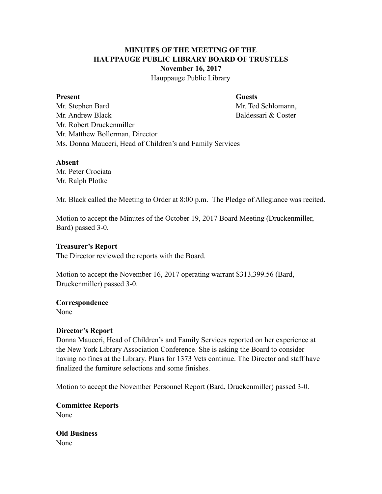# **MINUTES OF THE MEETING OF THE HAUPPAUGE PUBLIC LIBRARY BOARD OF TRUSTEES November 16, 2017**

Hauppauge Public Library

#### **Present Guests**

Mr. Stephen Bard Mr. Ted Schlomann, Mr. Andrew Black Baldessari & Coster Mr. Robert Druckenmiller Mr. Matthew Bollerman, Director Ms. Donna Mauceri, Head of Children's and Family Services

# **Absent**

Mr. Peter Crociata Mr. Ralph Plotke

Mr. Black called the Meeting to Order at 8:00 p.m. The Pledge of Allegiance was recited.

Motion to accept the Minutes of the October 19, 2017 Board Meeting (Druckenmiller, Bard) passed 3-0.

# **Treasurer's Report**

The Director reviewed the reports with the Board.

Motion to accept the November 16, 2017 operating warrant \$313,399.56 (Bard, Druckenmiller) passed 3-0.

# **Correspondence**

None

# **Director's Report**

Donna Mauceri, Head of Children's and Family Services reported on her experience at the New York Library Association Conference. She is asking the Board to consider having no fines at the Library. Plans for 1373 Vets continue. The Director and staff have finalized the furniture selections and some finishes.

Motion to accept the November Personnel Report (Bard, Druckenmiller) passed 3-0.

**Committee Reports**  None

**Old Business**  None